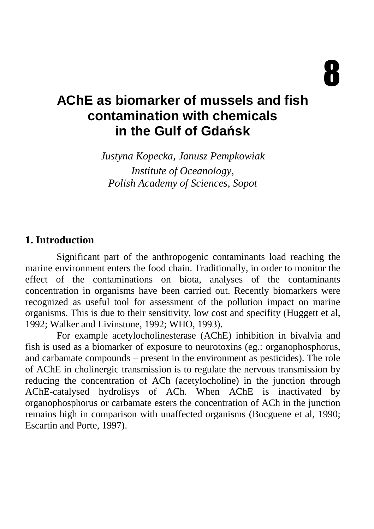# **AChE as biomarker of mussels and fish contamination with chemicals in the Gulf of Gda**ń**sk**

*Justyna Kopecka, Janusz Pempkowiak Institute of Oceanology, Polish Academy of Sciences, Sopot* 

#### **1. Introduction**

Significant part of the anthropogenic contaminants load reaching the marine environment enters the food chain. Traditionally, in order to monitor the effect of the contaminations on biota, analyses of the contaminants concentration in organisms have been carried out. Recently biomarkers were recognized as useful tool for assessment of the pollution impact on marine organisms. This is due to their sensitivity, low cost and specifity (Huggett et al, 1992; Walker and Livinstone, 1992; WHO, 1993).

For example acetylocholinesterase (AChE) inhibition in bivalvia and fish is used as a biomarker of exposure to neurotoxins (eg.: organophosphorus, and carbamate compounds – present in the environment as pesticides). The role of AChE in cholinergic transmission is to regulate the nervous transmission by reducing the concentration of ACh (acetylocholine) in the junction through AChE-catalysed hydrolisys of ACh. When AChE is inactivated by organophosphorus or carbamate esters the concentration of ACh in the junction remains high in comparison with unaffected organisms (Bocguene et al, 1990; Escartin and Porte, 1997).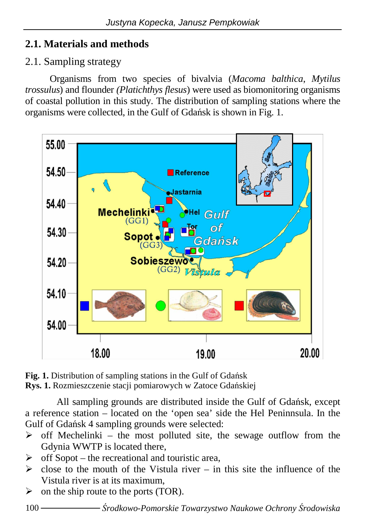### **2.1. Materials and methods**

### 2.1. Sampling strategy

Organisms from two species of bivalvia (*Macoma balthica*, *Mytilus trossulus*) and flounder *(Platichthys flesus*) were used as biomonitoring organisms of coastal pollution in this study. The distribution of sampling stations where the organisms were collected, in the Gulf of Gdańsk is shown in Fig. 1.



**Fig. 1.** Distribution of sampling stations in the Gulf of Gdańsk **Rys. 1.** Rozmieszczenie stacji pomiarowych w Zatoce Gdańskiej

All sampling grounds are distributed inside the Gulf of Gdańsk, except a reference station – located on the 'open sea' side the Hel Peninnsula. In the Gulf of Gdańsk 4 sampling grounds were selected:

- $\triangleright$  off Mechelinki the most polluted site, the sewage outflow from the Gdynia WWTP is located there,
- $\triangleright$  off Sopot the recreational and touristic area,
- $\geq$  close to the mouth of the Vistula river in this site the influence of the Vistula river is at its maximum,
- $\triangleright$  on the ship route to the ports (TOR).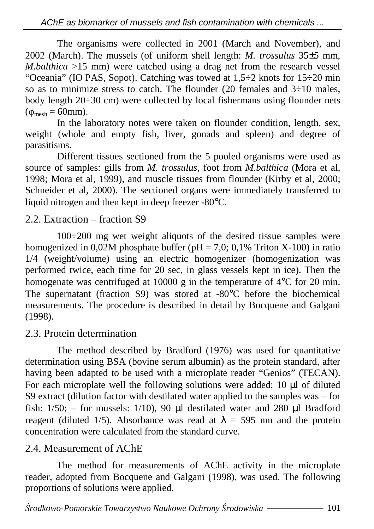The organisms were collected in 2001 (March and November), and 2002 (March). The mussels (of uniform shell length: *M. trossulus* 35±5 mm, *M.balthica* >15 mm) were catched using a drag net from the research vessel "Oceania" (IO PAS, Sopot). Catching was towed at  $1,5\div 2$  knots for  $15\div 20$  min so as to minimize stress to catch. The flounder  $(20 \text{ females and } 3\div 10 \text{ males},$ body length 20÷30 cm) were collected by local fishermans using flounder nets  $(\varphi_{\text{mesh}} = 60 \text{mm}).$ 

In the laboratory notes were taken on flounder condition, length, sex, weight (whole and empty fish, liver, gonads and spleen) and degree of parasitisms.

Different tissues sectioned from the 5 pooled organisms were used as source of samples: gills from *M. trossulus*, foot from *M.balthica* (Mora et al, 1998; Mora et al, 1999), and muscle tissues from flounder (Kirby et al, 2000; Schneider et al, 2000). The sectioned organs were immediately transferred to liquid nitrogen and then kept in deep freezer -80°C.

#### 2.2. Extraction – fraction S9

100÷200 mg wet weight aliquots of the desired tissue samples were homogenized in 0,02M phosphate buffer (pH = 7,0; 0,1% Triton X-100) in ratio 1/4 (weight/volume) using an electric homogenizer (homogenization was performed twice, each time for 20 sec, in glass vessels kept in ice). Then the homogenate was centrifuged at 10000 g in the temperature of 4°C for 20 min. The supernatant (fraction S9) was stored at -80°C before the biochemical measurements. The procedure is described in detail by Bocquene and Galgani (1998).

#### 2.3. Protein determination

The method described by Bradford (1976) was used for quantitative determination using BSA (bovine serum albumin) as the protein standard, after having been adapted to be used with a microplate reader "Genios" (TECAN). For each microplate well the following solutions were added: 10 µl of diluted S9 extract (dilution factor with destilated water applied to the samples was – for fish:  $1/50$ ; – for mussels:  $1/10$ ), 90  $\mu$ l destilated water and 280  $\mu$ l Bradford reagent (diluted 1/5). Absorbance was read at  $\lambda = 595$  nm and the protein concentration were calculated from the standard curve.

#### 2.4. Measurement of AChE

The method for measurements of AChE activity in the microplate reader, adopted from Bocquene and Galgani (1998), was used. The following proportions of solutions were applied.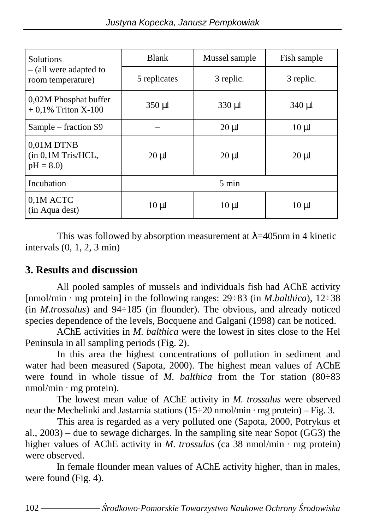| Solutions<br>$-$ (all were adapted to<br>room temperature) | <b>Blank</b>    | Mussel sample | Fish sample |
|------------------------------------------------------------|-----------------|---------------|-------------|
|                                                            | 5 replicates    | 3 replic.     | 3 replic.   |
| 0,02M Phosphat buffer<br>$+0.1\%$ Triton X-100             | $350 \mu l$     | $330 \mu l$   | 340 µl      |
| Sample – fraction S9                                       |                 | $20 \mu l$    | $10 \mu l$  |
| $0,01M$ DTNB<br>$(in 0, 1M$ Tris/HCL,<br>$pH = 8.0$        | $20 \mu l$      | $20 \mu l$    | $20 \mu l$  |
| Incubation                                                 | $5 \text{ min}$ |               |             |
| 0,1M ACTC<br>(in Aqua dest)                                | $10 \mu l$      | $10 \mu l$    | $10 \mu l$  |

This was followed by absorption measurement at  $\lambda$ =405nm in 4 kinetic intervals (0, 1, 2, 3 min)

### **3. Results and discussion**

All pooled samples of mussels and individuals fish had AChE activity [nmol/min · mg protein] in the following ranges: 29÷83 (in *M.balthica*), 12÷38 (in *M.trossulus*) and 94÷185 (in flounder). The obvious, and already noticed species dependence of the levels, Bocquene and Galgani (1998) can be noticed.

AChE activities in *M. balthica* were the lowest in sites close to the Hel Peninsula in all sampling periods (Fig. 2).

In this area the highest concentrations of pollution in sediment and water had been measured (Sapota, 2000). The highest mean values of AChE were found in whole tissue of *M. balthica* from the Tor station (80÷83) nmol/min · mg protein).

The lowest mean value of AChE activity in *M. trossulus* were observed near the Mechelinki and Jastarnia stations (15÷20 nmol/min · mg protein) – Fig. 3.

This area is regarded as a very polluted one (Sapota, 2000, Potrykus et al., 2003) – due to sewage dicharges. In the sampling site near Sopot (GG3) the higher values of AChE activity in *M. trossulus* (ca 38 nmol/min  $\cdot$  mg protein) were observed.

In female flounder mean values of AChE activity higher, than in males, were found (Fig. 4).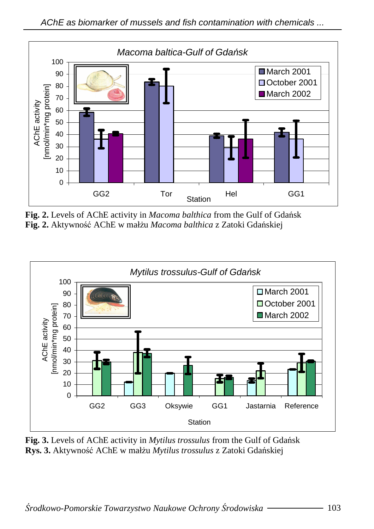

**Fig. 2.** Levels of AChE activity in *Macoma balthica* from the Gulf of Gdańsk Fig. 2. Aktywność AChE w małżu Macoma balthica z Zatoki Gdańskiej



**Fig. 3.** Levels of AChE activity in *Mytilus trossulus* from the Gulf of Gdańsk Rys. 3. Aktywność AChE w małżu *Mytilus trossulus* z Zatoki Gdańskiej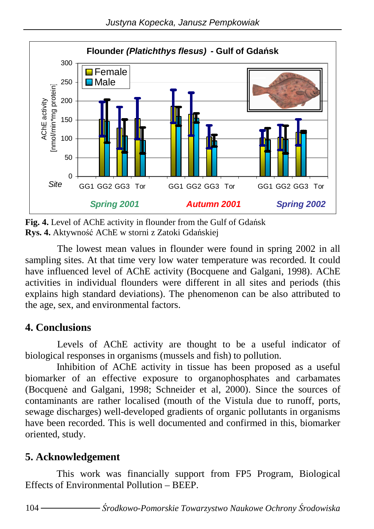

**Fig. 4.** Level of AChE activity in flounder from the Gulf of Gdańsk **Rys. 4.** Aktywność AChE w storni z Zatoki Gdańskiej

The lowest mean values in flounder were found in spring 2002 in all sampling sites. At that time very low water temperature was recorded. It could have influenced level of AChE activity (Bocquene and Galgani, 1998). AChE activities in individual flounders were different in all sites and periods (this explains high standard deviations). The phenomenon can be also attributed to the age, sex, and environmental factors.

### **4. Conclusions**

Levels of AChE activity are thought to be a useful indicator of biological responses in organisms (mussels and fish) to pollution.

Inhibition of AChE activity in tissue has been proposed as a useful biomarker of an effective exposure to organophosphates and carbamates (Bocquen÷ and Galgani, 1998; Schneider et al, 2000). Since the sources of contaminants are rather localised (mouth of the Vistula due to runoff, ports, sewage discharges) well-developed gradients of organic pollutants in organisms have been recorded. This is well documented and confirmed in this, biomarker oriented, study.

### **5. Acknowledgement**

This work was financially support from FP5 Program, Biological Effects of Environmental Pollution – BEEP.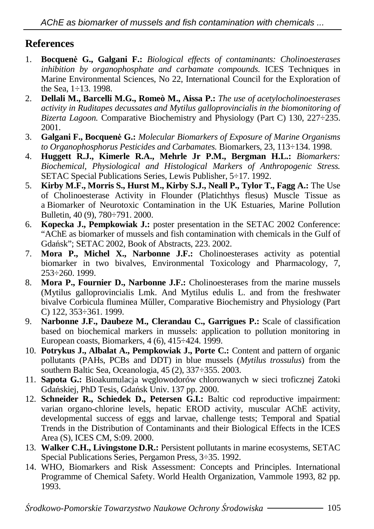### **References**

- 1. **Bocquen**÷ **G., Galgani F.:** *Biological effects of contaminants: Cholinoesterases inhibition by organophosphate and carbamate compounds.* ICES Techniques in Marine Environmental Sciences, No 22, International Council for the Exploration of the Sea, 1÷13. 1998.
- 2. **Dellali M., Barcelli M.G., Romeò M., Aissa P.:** *The use of acetylocholinoesterases activity in Ruditapes decussates and Mytilus galloprovincialis in the biomonitoring of Bizerta Lagoon.* Comparative Biochemistry and Physiology (Part C) 130, 227–235. 2001.
- 3. **Galgani F., Bocquen**÷ **G.:** *Molecular Biomarkers of Exposure of Marine Organisms to Organophosphorus Pesticides and Carbamates.* Biomarkers, 23, 113÷134. 1998.
- 4. **Huggett R.J., Kimerle R.A., Mehrle Jr P.M., Bergman H.L.:** *Biomarkers: Biochemical, Physiological and Histological Markers of Anthropogenic Stress.* SETAC Special Publications Series, Lewis Publisher, 5÷17. 1992.
- 5. **Kirby M.F., Morris S., Hurst M., Kirby S.J., Neall P., Tylor T., Fagg A.:** The Use of Cholinoesterase Activity in Flounder (Platichthys flesus) Muscle Tissue as a Biomarker of Neurotoxic Contamination in the UK Estuaries, Marine Pollution Bulletin, 40 (9), 780÷791. 2000.
- 6. **Kopecka J., Pempkowiak J.:** poster presentation in the SETAC 2002 Conference: "AChE as biomarker of mussels and fish contamination with chemicals in the Gulf of Gdańsk"; SETAC 2002, Book of Abstracts, 223. 2002.
- 7. **Mora P., Michel X., Narbonne J.F.:** Cholinoesterases activity as potential biomarker in two bivalves, Environmental Toxicology and Pharmacology, 7, 253÷260. 1999.
- 8. **Mora P., Fournier D., Narbonne J.F.:** Cholinoesterases from the marine mussels (Mytilus galloprovincialis Lmk. And Mytilus edulis L. and from the freshwater bivalve Corbicula fluminea Mőller, Comparative Biochemistry and Physiology (Part C) 122, 353÷361. 1999.
- 9. **Narbonne J.F., Daubeze M., Clerandau C., Garrigues P.:** Scale of classification based on biochemical markers in mussels: application to pollution monitoring in European coasts, Biomarkers, 4 (6), 415÷424. 1999.
- 10. **Potrykus J., Albalat A., Pempkowiak J., Porte C.:** Content and pattern of organic pollutants (PAHs, PCBs and DDT) in blue mussels (*Mytilus trossulus*) from the southern Baltic Sea, Oceanologia, 45 (2), 337÷355. 2003.
- 11. **Sapota G.:** Bioakumulacja węglowodorów chlorowanych w sieci troficznej Zatoki Gdańskiej, PhD Tesis, Gdańsk Univ. 137 pp. 2000.
- 12. **Schneider R., Schiedek D., Petersen G.I.:** Baltic cod reproductive impairment: varian organo-chlorine levels, hepatic EROD activity, muscular AChE activity, developmental success of eggs and larvae, challenge tests; Temporal and Spatial Trends in the Distribution of Contaminants and their Biological Effects in the ICES Area (S), ICES CM, S:09. 2000.
- 13. **Walker C.H., Livingstone D.R.:** Persistent pollutants in marine ecosystems, SETAC Special Publications Series, Pergamon Press, 3÷35. 1992.
- 14. WHO, Biomarkers and Risk Assessment: Concepts and Principles. International Programme of Chemical Safety. World Health Organization, Vammole 1993, 82 pp. 1993.